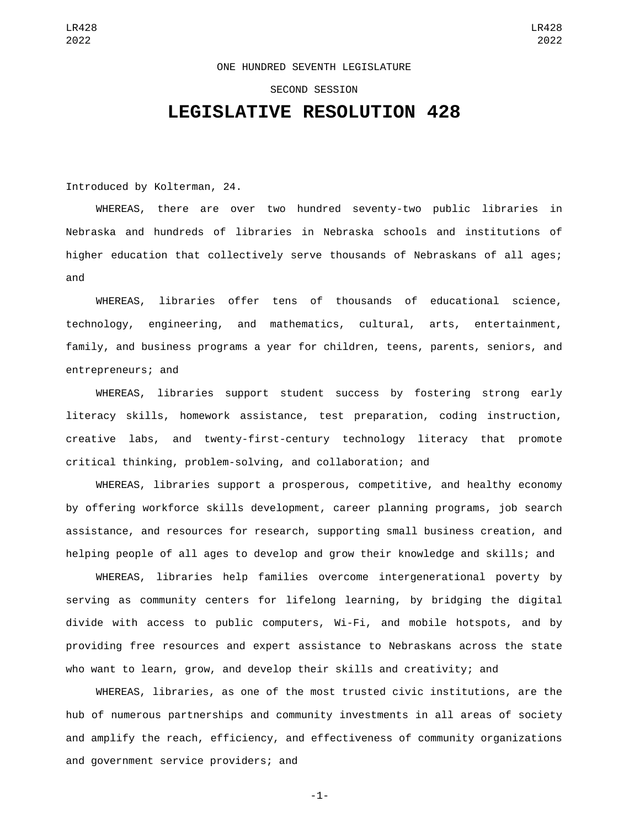## ONE HUNDRED SEVENTH LEGISLATURE

## SECOND SESSION

## **LEGISLATIVE RESOLUTION 428**

Introduced by Kolterman, 24.

WHEREAS, there are over two hundred seventy-two public libraries in Nebraska and hundreds of libraries in Nebraska schools and institutions of higher education that collectively serve thousands of Nebraskans of all ages; and

WHEREAS, libraries offer tens of thousands of educational science, technology, engineering, and mathematics, cultural, arts, entertainment, family, and business programs a year for children, teens, parents, seniors, and entrepreneurs; and

WHEREAS, libraries support student success by fostering strong early literacy skills, homework assistance, test preparation, coding instruction, creative labs, and twenty-first-century technology literacy that promote critical thinking, problem-solving, and collaboration; and

WHEREAS, libraries support a prosperous, competitive, and healthy economy by offering workforce skills development, career planning programs, job search assistance, and resources for research, supporting small business creation, and helping people of all ages to develop and grow their knowledge and skills; and

WHEREAS, libraries help families overcome intergenerational poverty by serving as community centers for lifelong learning, by bridging the digital divide with access to public computers, Wi-Fi, and mobile hotspots, and by providing free resources and expert assistance to Nebraskans across the state who want to learn, grow, and develop their skills and creativity; and

WHEREAS, libraries, as one of the most trusted civic institutions, are the hub of numerous partnerships and community investments in all areas of society and amplify the reach, efficiency, and effectiveness of community organizations and government service providers; and

-1-